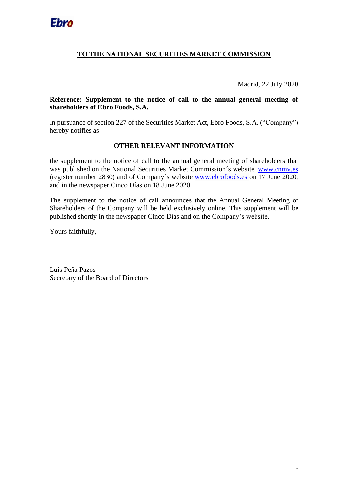## **TO THE NATIONAL SECURITIES MARKET COMMISSION**

Madrid, 22 July 2020

**Reference: Supplement to the notice of call to the annual general meeting of shareholders of Ebro Foods, S.A.**

In pursuance of section 227 of the Securities Market Act, Ebro Foods, S.A. ("Company") hereby notifies as

## **OTHER RELEVANT INFORMATION**

the supplement to the notice of call to the annual general meeting of shareholders that was published on the National Securities Market Commission´s website [www.cnmv.es](http://www.cnmv.es/) (register number 2830) and of Company´s website [www.ebrofoods.es](http://www.ebrofoods.es/) on 17 June 2020; and in the newspaper Cinco Días on 18 June 2020.

The supplement to the notice of call announces that the Annual General Meeting of Shareholders of the Company will be held exclusively online. This supplement will be published [shortly](https://www.linguee.es/ingles-espanol/traduccion/shortly.html) in the newspaper Cinco Días and on the Company's website.

Yours faithfully,

Luis Peña Pazos Secretary of the Board of Directors